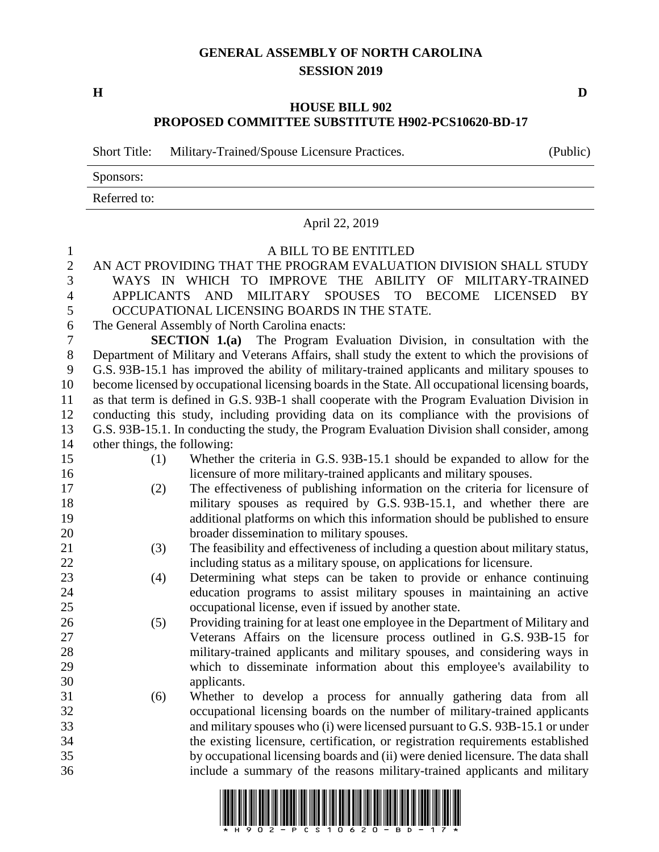## **GENERAL ASSEMBLY OF NORTH CAROLINA SESSION 2019**

**H D**

## **HOUSE BILL 902 PROPOSED COMMITTEE SUBSTITUTE H902-PCS10620-BD-17**

Short Title: Military-Trained/Spouse Licensure Practices. (Public)

Sponsors:

Referred to:

|                              |                                                                                | April 22, 2019                                                                                    |
|------------------------------|--------------------------------------------------------------------------------|---------------------------------------------------------------------------------------------------|
| $\mathbf{1}$<br>$\mathbf{2}$ |                                                                                | A BILL TO BE ENTITLED<br>AN ACT PROVIDING THAT THE PROGRAM EVALUATION DIVISION SHALL STUDY        |
| $\overline{3}$               |                                                                                | WAYS IN WHICH TO IMPROVE THE ABILITY OF MILITARY-TRAINED                                          |
| $\overline{4}$               |                                                                                | APPLICANTS AND MILITARY SPOUSES<br>TO BECOME LICENSED<br>BY                                       |
| 5                            |                                                                                | OCCUPATIONAL LICENSING BOARDS IN THE STATE.                                                       |
| 6                            |                                                                                | The General Assembly of North Carolina enacts:                                                    |
| $\tau$                       | <b>SECTION 1.(a)</b> The Program Evaluation Division, in consultation with the |                                                                                                   |
| $8\,$                        |                                                                                | Department of Military and Veterans Affairs, shall study the extent to which the provisions of    |
| 9                            |                                                                                | G.S. 93B-15.1 has improved the ability of military-trained applicants and military spouses to     |
| 10                           |                                                                                | become licensed by occupational licensing boards in the State. All occupational licensing boards, |
| 11                           |                                                                                | as that term is defined in G.S. 93B-1 shall cooperate with the Program Evaluation Division in     |
| 12                           |                                                                                | conducting this study, including providing data on its compliance with the provisions of          |
| 13                           |                                                                                | G.S. 93B-15.1. In conducting the study, the Program Evaluation Division shall consider, among     |
| 14                           | other things, the following:                                                   |                                                                                                   |
| 15                           | (1)                                                                            | Whether the criteria in G.S. 93B-15.1 should be expanded to allow for the                         |
| 16                           |                                                                                | licensure of more military-trained applicants and military spouses.                               |
| 17                           | (2)                                                                            | The effectiveness of publishing information on the criteria for licensure of                      |
| 18                           |                                                                                | military spouses as required by G.S. 93B-15.1, and whether there are                              |
| 19                           |                                                                                | additional platforms on which this information should be published to ensure                      |
| 20                           |                                                                                | broader dissemination to military spouses.                                                        |
| 21                           | (3)                                                                            | The feasibility and effectiveness of including a question about military status,                  |
| 22                           |                                                                                | including status as a military spouse, on applications for licensure.                             |
| 23                           | (4)                                                                            | Determining what steps can be taken to provide or enhance continuing                              |
| 24                           |                                                                                | education programs to assist military spouses in maintaining an active                            |
| 25                           |                                                                                | occupational license, even if issued by another state.                                            |
| 26                           | (5)                                                                            | Providing training for at least one employee in the Department of Military and                    |
| 27                           |                                                                                | Veterans Affairs on the licensure process outlined in G.S. 93B-15 for                             |
| 28<br>29                     |                                                                                | military-trained applicants and military spouses, and considering ways in                         |
| 30                           |                                                                                | which to disseminate information about this employee's availability to<br>applicants.             |
| 31                           | (6)                                                                            | Whether to develop a process for annually gathering data from all                                 |
| 32                           |                                                                                | occupational licensing boards on the number of military-trained applicants                        |
| 33                           |                                                                                | and military spouses who (i) were licensed pursuant to G.S. 93B-15.1 or under                     |
| 34                           |                                                                                | the existing licensure, certification, or registration requirements established                   |
| 35                           |                                                                                | by occupational licensing boards and (ii) were denied licensure. The data shall                   |
| 36                           |                                                                                | include a summary of the reasons military-trained applicants and military                         |
|                              |                                                                                |                                                                                                   |